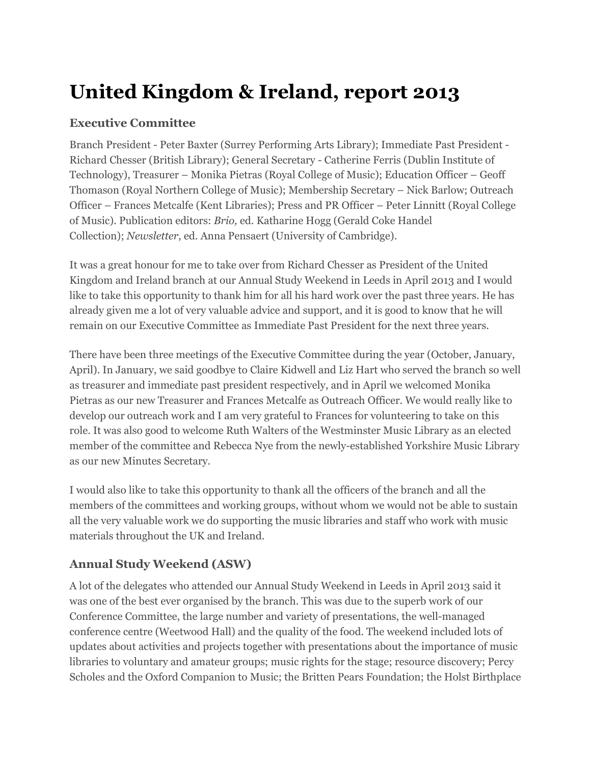# **United Kingdom & Ireland, report 2013**

#### **Executive Committee**

Branch President - Peter Baxter (Surrey Performing Arts Library); Immediate Past President - Richard Chesser (British Library); General Secretary - Catherine Ferris (Dublin Institute of Technology), Treasurer – Monika Pietras (Royal College of Music); Education Officer – Geoff Thomason (Royal Northern College of Music); Membership Secretary – Nick Barlow; Outreach Officer – Frances Metcalfe (Kent Libraries); Press and PR Officer – Peter Linnitt (Royal College of Music). Publication editors: *Brio,* ed. Katharine Hogg (Gerald Coke Handel Collection); *Newsletter*, ed. Anna Pensaert (University of Cambridge).

It was a great honour for me to take over from Richard Chesser as President of the United Kingdom and Ireland branch at our Annual Study Weekend in Leeds in April 2013 and I would like to take this opportunity to thank him for all his hard work over the past three years. He has already given me a lot of very valuable advice and support, and it is good to know that he will remain on our Executive Committee as Immediate Past President for the next three years.

There have been three meetings of the Executive Committee during the year (October, January, April). In January, we said goodbye to Claire Kidwell and Liz Hart who served the branch so well as treasurer and immediate past president respectively, and in April we welcomed Monika Pietras as our new Treasurer and Frances Metcalfe as Outreach Officer. We would really like to develop our outreach work and I am very grateful to Frances for volunteering to take on this role. It was also good to welcome Ruth Walters of the Westminster Music Library as an elected member of the committee and Rebecca Nye from the newly-established Yorkshire Music Library as our new Minutes Secretary.

I would also like to take this opportunity to thank all the officers of the branch and all the members of the committees and working groups, without whom we would not be able to sustain all the very valuable work we do supporting the music libraries and staff who work with music materials throughout the UK and Ireland.

# **Annual Study Weekend (ASW)**

A lot of the delegates who attended our Annual Study Weekend in Leeds in April 2013 said it was one of the best ever organised by the branch. This was due to the superb work of our Conference Committee, the large number and variety of presentations, the well-managed conference centre (Weetwood Hall) and the quality of the food. The weekend included lots of updates about activities and projects together with presentations about the importance of music libraries to voluntary and amateur groups; music rights for the stage; resource discovery; Percy Scholes and the Oxford Companion to Music; the Britten Pears Foundation; the Holst Birthplace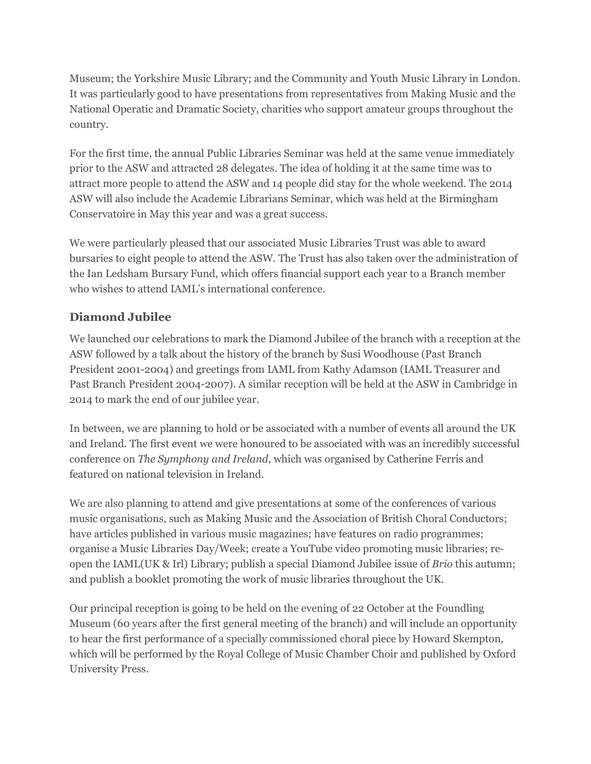Museum; the Yorkshire Music Library; and the Community and Youth Music Library in London. It was particularly good to have presentations from representatives from Making Music and the National Operatic and Dramatic Society, charities who support amateur groups throughout the country.

For the first time, the annual Public Libraries Seminar was held at the same venue immediately prior to the ASW and attracted 28 delegates. The idea of holding it at the same time was to attract more people to attend the ASW and 14 people did stay for the whole weekend. The 2014 ASW will also include the Academic Librarians Seminar, which was held at the Birmingham Conservatoire in May this year and was a great success.

We were particularly pleased that our associated Music Libraries Trust was able to award bursaries to eight people to attend the ASW. The Trust has also taken over the administration of the Ian Ledsham Bursary Fund, which offers financial support each year to a Branch member who wishes to attend IAML's international conference.

# **Diamond Jubilee**

We launched our celebrations to mark the Diamond Jubilee of the branch with a reception at the ASW followed by a talk about the history of the branch by Susi Woodhouse (Past Branch President 2001-2004) and greetings from IAML from Kathy Adamson (IAML Treasurer and Past Branch President 2004-2007). A similar reception will be held at the ASW in Cambridge in 2014 to mark the end of our jubilee year.

In between, we are planning to hold or be associated with a number of events all around the UK and Ireland. The first event we were honoured to be associated with was an incredibly successful conference on *The Symphony and Ireland*, which was organised by Catherine Ferris and featured on national television in Ireland.

We are also planning to attend and give presentations at some of the conferences of various music organisations, such as Making Music and the Association of British Choral Conductors; have articles published in various music magazines; have features on radio programmes; organise a Music Libraries Day/Week; create a YouTube video promoting music libraries; reopen the IAML(UK & Irl) Library; publish a special Diamond Jubilee issue of *Brio* this autumn; and publish a booklet promoting the work of music libraries throughout the UK.

Our principal reception is going to be held on the evening of 22 October at the Foundling Museum (60 years after the first general meeting of the branch) and will include an opportunity to hear the first performance of a specially commissioned choral piece by Howard Skempton, which will be performed by the Royal College of Music Chamber Choir and published by Oxford University Press.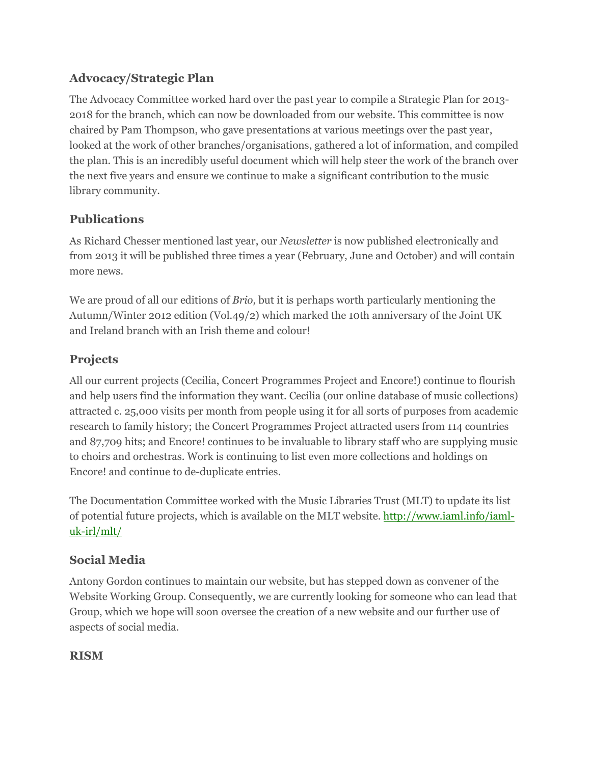## **Advocacy/Strategic Plan**

The Advocacy Committee worked hard over the past year to compile a Strategic Plan for 2013- 2018 for the branch, which can now be downloaded from our website. This committee is now chaired by Pam Thompson, who gave presentations at various meetings over the past year, looked at the work of other branches/organisations, gathered a lot of information, and compiled the plan. This is an incredibly useful document which will help steer the work of the branch over the next five years and ensure we continue to make a significant contribution to the music library community.

## **Publications**

As Richard Chesser mentioned last year, our *Newsletter* is now published electronically and from 2013 it will be published three times a year (February, June and October) and will contain more news.

We are proud of all our editions of *Brio,* but it is perhaps worth particularly mentioning the Autumn/Winter 2012 edition (Vol.49/2) which marked the 10th anniversary of the Joint UK and Ireland branch with an Irish theme and colour!

# **Projects**

All our current projects (Cecilia, Concert Programmes Project and Encore!) continue to flourish and help users find the information they want. Cecilia (our online database of music collections) attracted c. 25,000 visits per month from people using it for all sorts of purposes from academic research to family history; the Concert Programmes Project attracted users from 114 countries and 87,709 hits; and Encore! continues to be invaluable to library staff who are supplying music to choirs and orchestras. Work is continuing to list even more collections and holdings on Encore! and continue to de-duplicate entries.

The Documentation Committee worked with the Music Libraries Trust (MLT) to update its list of potential future projects, which is available on the MLT website. http://www.iaml.info/iamluk-irl/mlt/

## **Social Media**

Antony Gordon continues to maintain our website, but has stepped down as convener of the Website Working Group. Consequently, we are currently looking for someone who can lead that Group, which we hope will soon oversee the creation of a new website and our further use of aspects of social media.

## **RISM**